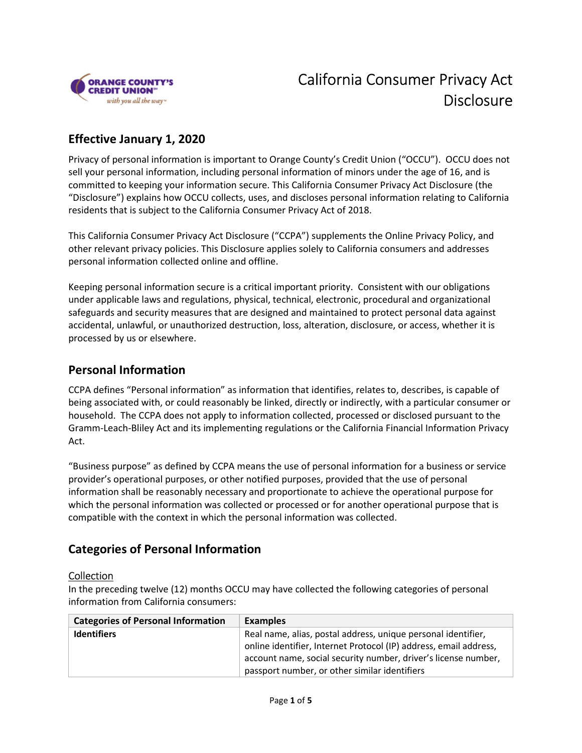

## Effective January 1, 2020

 Privacy of personal information is important to Orange County's Credit Union ("OCCU"). OCCU does not sell your personal information, including personal information of minors under the age of 16, and is committed to keeping your information secure. This California Consumer Privacy Act Disclosure (the "Disclosure") explains how OCCU collects, uses, and discloses personal information relating to California residents that is subject to the California Consumer Privacy Act of 2018.

 This California Consumer Privacy Act Disclosure ("CCPA") supplements the Online Privacy Policy, and other relevant privacy policies. This Disclosure applies solely to California consumers and addresses personal information collected online and offline.

 Keeping personal information secure is a critical important priority. Consistent with our obligations under applicable laws and regulations, physical, technical, electronic, procedural and organizational safeguards and security measures that are designed and maintained to protect personal data against accidental, unlawful, or unauthorized destruction, loss, alteration, disclosure, or access, whether it is processed by us or elsewhere.

## Personal Information

 CCPA defines "Personal information" as information that identifies, relates to, describes, is capable of being associated with, or could reasonably be linked, directly or indirectly, with a particular consumer or household. The CCPA does not apply to information collected, processed or disclosed pursuant to the Gramm-Leach-Bliley Act and its implementing regulations or the California Financial Information Privacy Act.

 "Business purpose" as defined by CCPA means the use of personal information for a business or service provider's operational purposes, or other notified purposes, provided that the use of personal information shall be reasonably necessary and proportionate to achieve the operational purpose for which the personal information was collected or processed or for another operational purpose that is compatible with the context in which the personal information was collected.

## Categories of Personal Information

#### **Collection**

 In the preceding twelve (12) months OCCU may have collected the following categories of personal information from California consumers:

| <b>Categories of Personal Information</b> | <b>Examples</b>                                                                                                                                                                                      |
|-------------------------------------------|------------------------------------------------------------------------------------------------------------------------------------------------------------------------------------------------------|
| <b>Identifiers</b>                        | Real name, alias, postal address, unique personal identifier,<br>online identifier, Internet Protocol (IP) address, email address,<br>account name, social security number, driver's license number, |
|                                           | passport number, or other similar identifiers                                                                                                                                                        |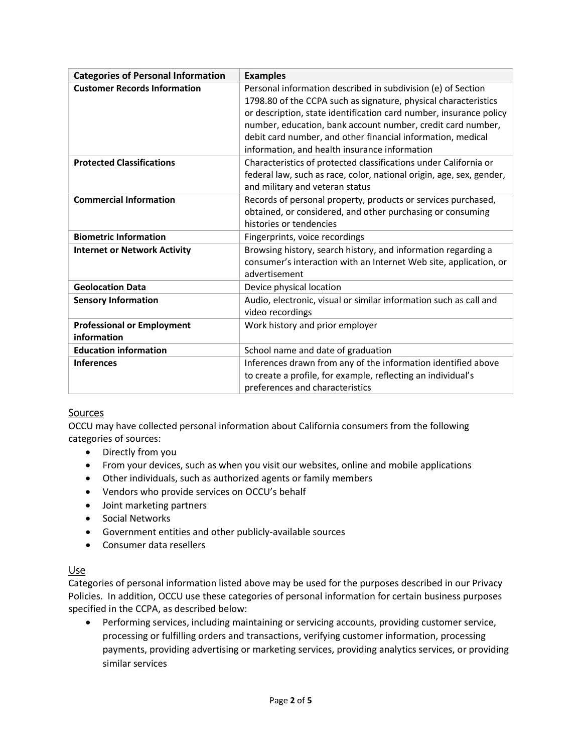| <b>Categories of Personal Information</b>        | <b>Examples</b>                                                                                                                                                                                                                                                                                                                                                                      |
|--------------------------------------------------|--------------------------------------------------------------------------------------------------------------------------------------------------------------------------------------------------------------------------------------------------------------------------------------------------------------------------------------------------------------------------------------|
| <b>Customer Records Information</b>              | Personal information described in subdivision (e) of Section<br>1798.80 of the CCPA such as signature, physical characteristics<br>or description, state identification card number, insurance policy<br>number, education, bank account number, credit card number,<br>debit card number, and other financial information, medical<br>information, and health insurance information |
| <b>Protected Classifications</b>                 | Characteristics of protected classifications under California or<br>federal law, such as race, color, national origin, age, sex, gender,<br>and military and veteran status                                                                                                                                                                                                          |
| <b>Commercial Information</b>                    | Records of personal property, products or services purchased,<br>obtained, or considered, and other purchasing or consuming<br>histories or tendencies                                                                                                                                                                                                                               |
| <b>Biometric Information</b>                     | Fingerprints, voice recordings                                                                                                                                                                                                                                                                                                                                                       |
| <b>Internet or Network Activity</b>              | Browsing history, search history, and information regarding a<br>consumer's interaction with an Internet Web site, application, or<br>advertisement                                                                                                                                                                                                                                  |
| <b>Geolocation Data</b>                          | Device physical location                                                                                                                                                                                                                                                                                                                                                             |
| <b>Sensory Information</b>                       | Audio, electronic, visual or similar information such as call and<br>video recordings                                                                                                                                                                                                                                                                                                |
| <b>Professional or Employment</b><br>information | Work history and prior employer                                                                                                                                                                                                                                                                                                                                                      |
| <b>Education information</b>                     | School name and date of graduation                                                                                                                                                                                                                                                                                                                                                   |
| <b>Inferences</b>                                | Inferences drawn from any of the information identified above<br>to create a profile, for example, reflecting an individual's<br>preferences and characteristics                                                                                                                                                                                                                     |

#### Sources

 OCCU may have collected personal information about California consumers from the following categories of sources:

- Directly from you
- From your devices, such as when you visit our websites, online and mobile applications
- Other individuals, such as authorized agents or family members
- Vendors who provide services on OCCU's behalf
- Joint marketing partners
- **•** Social Networks
- Government entities and other publicly-available sources
- Consumer data resellers

#### Use

 Categories of personal information listed above may be used for the purposes described in our Privacy Policies. In addition, OCCU use these categories of personal information for certain business purposes specified in the CCPA, as described below:

 Performing services, including maintaining or servicing accounts, providing customer service, processing or fulfilling orders and transactions, verifying customer information, processing payments, providing advertising or marketing services, providing analytics services, or providing similar services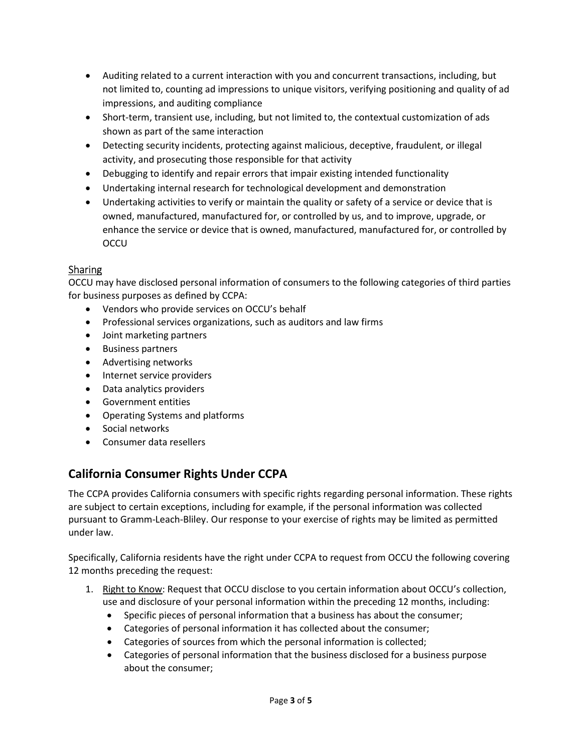- Auditing related to a current interaction with you and concurrent transactions, including, but not limited to, counting ad impressions to unique visitors, verifying positioning and quality of ad impressions, and auditing compliance
- Short-term, transient use, including, but not limited to, the contextual customization of ads shown as part of the same interaction
- Detecting security incidents, protecting against malicious, deceptive, fraudulent, or illegal activity, and prosecuting those responsible for that activity
- Debugging to identify and repair errors that impair existing intended functionality
- Undertaking internal research for technological development and demonstration
- Undertaking activities to verify or maintain the quality or safety of a service or device that is owned, manufactured, manufactured for, or controlled by us, and to improve, upgrade, or enhance the service or device that is owned, manufactured, manufactured for, or controlled by **OCCU**

### Sharing

 OCCU may have disclosed personal information of consumers to the following categories of third parties for business purposes as defined by CCPA:

- Vendors who provide services on OCCU's behalf
- Professional services organizations, such as auditors and law firms
- Joint marketing partners
- **•** Business partners
- Advertising networks
- Internet service providers
- Data analytics providers
- Government entities
- Operating Systems and platforms
- Social networks
- Consumer data resellers

# California Consumer Rights Under CCPA

 The CCPA provides California consumers with specific rights regarding personal information. These rights are subject to certain exceptions, including for example, if the personal information was collected pursuant to Gramm-Leach-Bliley. Our response to your exercise of rights may be limited as permitted under law.

 Specifically, California residents have the right under CCPA to request from OCCU the following covering 12 months preceding the request:

- 1. Right to Know: Request that OCCU disclose to you certain information about OCCU's collection, use and disclosure of your personal information within the preceding 12 months, including:
	- Specific pieces of personal information that a business has about the consumer;
	- Categories of personal information it has collected about the consumer;
	- Categories of sources from which the personal information is collected;
	- Categories of personal information that the business disclosed for a business purpose about the consumer;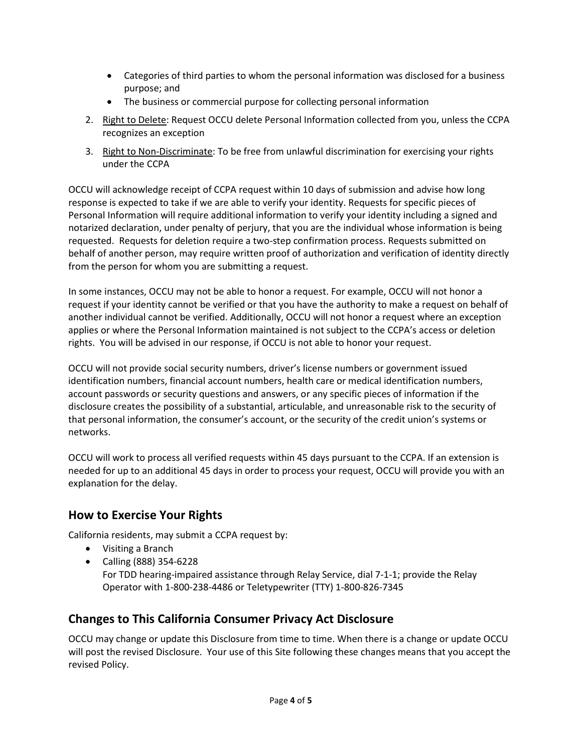- Categories of third parties to whom the personal information was disclosed for a business purpose; and
- The business or commercial purpose for collecting personal information
- 2. Right to Delete: Request OCCU delete Personal Information collected from you, unless the CCPA recognizes an exception
- 3. Right to Non-Discriminate: To be free from unlawful discrimination for exercising your rights under the CCPA

 OCCU will acknowledge receipt of CCPA request within 10 days of submission and advise how long response is expected to take if we are able to verify your identity. Requests for specific pieces of Personal Information will require additional information to verify your identity including a signed and notarized declaration, under penalty of perjury, that you are the individual whose information is being requested. Requests for deletion require a two-step confirmation process. Requests submitted on behalf of another person, may require written proof of authorization and verification of identity directly from the person for whom you are submitting a request.

 In some instances, OCCU may not be able to honor a request. For example, OCCU will not honor a request if your identity cannot be verified or that you have the authority to make a request on behalf of another individual cannot be verified. Additionally, OCCU will not honor a request where an exception applies or where the Personal Information maintained is not subject to the CCPA's access or deletion rights. You will be advised in our response, if OCCU is not able to honor your request.

 OCCU will not provide social security numbers, driver's license numbers or government issued identification numbers, financial account numbers, health care or medical identification numbers, account passwords or security questions and answers, or any specific pieces of information if the disclosure creates the possibility of a substantial, articulable, and unreasonable risk to the security of that personal information, the consumer's account, or the security of the credit union's systems or networks.

 OCCU will work to process all verified requests within 45 days pursuant to the CCPA. If an extension is needed for up to an additional 45 days in order to process your request, OCCU will provide you with an explanation for the delay.

## How to Exercise Your Rights

California residents, may submit a CCPA request by:

- Visiting a Branch
- Calling (888) 354-6228 For TDD hearing-impaired assistance through Relay Service, dial 7-1-1; provide the Relay Operator with 1-800-238-4486 or Teletypewriter (TTY) 1-800-826-7345

## Changes to This California Consumer Privacy Act Disclosure

 OCCU may change or update this Disclosure from time to time. When there is a change or update OCCU will post the revised Disclosure. Your use of this Site following these changes means that you accept the revised Policy.